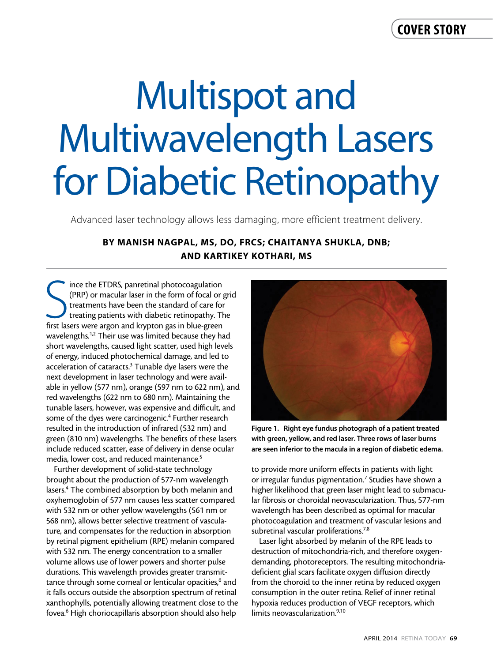# Multispot and Multiwavelength Lasers for Diabetic Retinopathy

Advanced laser technology allows less damaging, more efficient treatment delivery.

### By Manish Nagpal, MS, DO, FRCS; Chaitanya Shukla, DNB; and Kartikey Kothari, MS

Since the ETDRS, panretinal photocoagulation (PRP) or macular laser in the form of focal or generations were argon and krypton gas in blue-green ince the ETDRS, panretinal photocoagulation (PRP) or macular laser in the form of focal or grid treatments have been the standard of care for treating patients with diabetic retinopathy. The wavelengths.<sup>1,2</sup> Their use was limited because they had short wavelengths, caused light scatter, used high levels of energy, induced photochemical damage, and led to acceleration of cataracts.<sup>3</sup> Tunable dye lasers were the next development in laser technology and were available in yellow (577 nm), orange (597 nm to 622 nm), and red wavelengths (622 nm to 680 nm). Maintaining the tunable lasers, however, was expensive and difficult, and some of the dyes were carcinogenic.<sup>4</sup> Further research resulted in the introduction of infrared (532 nm) and green (810 nm) wavelengths. The benefits of these lasers include reduced scatter, ease of delivery in dense ocular media, lower cost, and reduced maintenance.<sup>5</sup>

Further development of solid-state technology brought about the production of 577-nm wavelength lasers.<sup>4</sup> The combined absorption by both melanin and oxyhemoglobin of 577 nm causes less scatter compared with 532 nm or other yellow wavelengths (561 nm or 568 nm), allows better selective treatment of vasculature, and compensates for the reduction in absorption by retinal pigment epithelium (RPE) melanin compared with 532 nm. The energy concentration to a smaller volume allows use of lower powers and shorter pulse durations. This wavelength provides greater transmittance through some corneal or lenticular opacities,<sup>6</sup> and it falls occurs outside the absorption spectrum of retinal xanthophylls, potentially allowing treatment close to the fovea.6 High choriocapillaris absorption should also help



Figure 1. Right eye fundus photograph of a patient treated with green, yellow, and red laser. Three rows of laser burns are seen inferior to the macula in a region of diabetic edema.

to provide more uniform effects in patients with light or irregular fundus pigmentation.<sup>7</sup> Studies have shown a higher likelihood that green laser might lead to submacular fibrosis or choroidal neovascularization. Thus, 577-nm wavelength has been described as optimal for macular photocoagulation and treatment of vascular lesions and subretinal vascular proliferations.<sup>7,8</sup>

Laser light absorbed by melanin of the RPE leads to destruction of mitochondria-rich, and therefore oxygendemanding, photoreceptors. The resulting mitochondriadeficient glial scars facilitate oxygen diffusion directly from the choroid to the inner retina by reduced oxygen consumption in the outer retina. Relief of inner retinal hypoxia reduces production of VEGF receptors, which limits neovascularization.<sup>9,10</sup>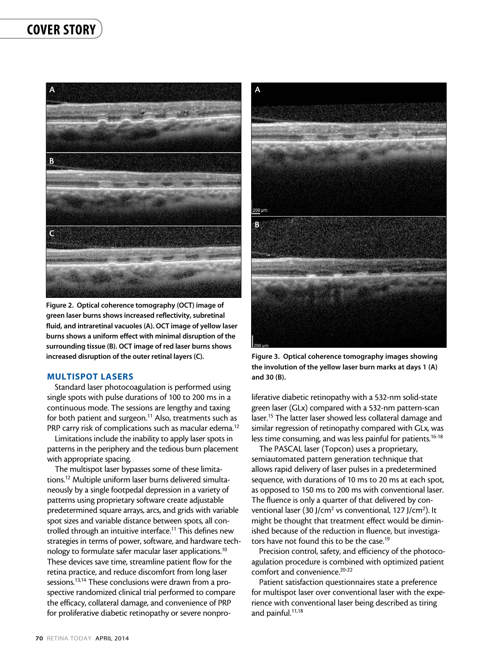## cover story



Figure 2. Optical coherence tomography (OCT) image of green laser burns shows increased reflectivity, subretinal fluid, and intraretinal vacuoles (A). OCT image of yellow laser burns shows a uniform effect with minimal disruption of the surrounding tissue (B). OCT image of red laser burns shows increased disruption of the outer retinal layers (C). Figure 3. Optical coherence tomography images showing

#### Multispot Lasers

Standard laser photocoagulation is performed using single spots with pulse durations of 100 to 200 ms in a continuous mode. The sessions are lengthy and taxing for both patient and surgeon.<sup>11</sup> Also, treatments such as PRP carry risk of complications such as macular edema.<sup>12</sup>

Limitations include the inability to apply laser spots in patterns in the periphery and the tedious burn placement with appropriate spacing.

The multispot laser bypasses some of these limitations.12 Multiple uniform laser burns delivered simultaneously by a single footpedal depression in a variety of patterns using proprietary software create adjustable predetermined square arrays, arcs, and grids with variable spot sizes and variable distance between spots, all controlled through an intuitive interface.<sup>11</sup> This defines new strategies in terms of power, software, and hardware technology to formulate safer macular laser applications.10 These devices save time, streamline patient flow for the retina practice, and reduce discomfort from long laser sessions.13,14 These conclusions were drawn from a prospective randomized clinical trial performed to compare the efficacy, collateral damage, and convenience of PRP for proliferative diabetic retinopathy or severe nonpro-



the involution of the yellow laser burn marks at days 1 (A) and 30 (B).

liferative diabetic retinopathy with a 532-nm solid-state green laser (GLx) compared with a 532-nm pattern-scan laser.<sup>15</sup> The latter laser showed less collateral damage and similar regression of retinopathy compared with GLx, was less time consuming, and was less painful for patients.<sup>16-18</sup>

The PASCAL laser (Topcon) uses a proprietary, semiautomated pattern generation technique that allows rapid delivery of laser pulses in a predetermined sequence, with durations of 10 ms to 20 ms at each spot, as opposed to 150 ms to 200 ms with conventional laser. The fluence is only a quarter of that delivered by conventional laser (30 J/cm<sup>2</sup> vs conventional, 127 J/cm<sup>2</sup>). It might be thought that treatment effect would be diminished because of the reduction in fluence, but investigators have not found this to be the case.<sup>19</sup>

Precision control, safety, and efficiency of the photocoagulation procedure is combined with optimized patient comfort and convenience.<sup>20-22</sup>

Patient satisfaction questionnaires state a preference for multispot laser over conventional laser with the experience with conventional laser being described as tiring and painful.<sup>11,18</sup>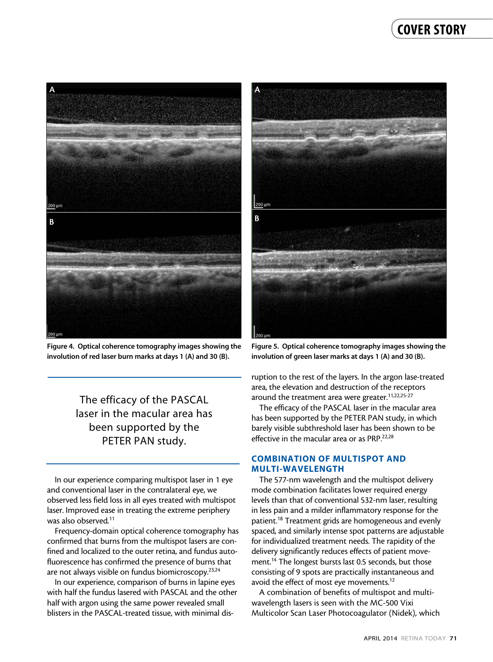

Figure 4. Optical coherence tomography images showing the involution of red laser burn marks at days 1 (A) and 30 (B).

The efficacy of the PASCAL laser in the macular area has been supported by the PETER PAN study.

In our experience comparing multispot laser in 1 eye and conventional laser in the contralateral eye, we observed less field loss in all eyes treated with multispot laser. Improved ease in treating the extreme periphery was also observed.<sup>11</sup>

Frequency-domain optical coherence tomography has confirmed that burns from the multispot lasers are confined and localized to the outer retina, and fundus autofluorescence has confirmed the presence of burns that are not always visible on fundus biomicroscopy.23,24

In our experience, comparison of burns in lapine eyes with half the fundus lasered with PASCAL and the other half with argon using the same power revealed small blisters in the PASCAL-treated tissue, with minimal dis-



Figure 5. Optical coherence tomography images showing the involution of green laser marks at days 1 (A) and 30 (B).

ruption to the rest of the layers. In the argon lase-treated area, the elevation and destruction of the receptors around the treatment area were greater.<sup>11,22,25-27</sup>

The efficacy of the PASCAL laser in the macular area has been supported by the PETER PAN study, in which barely visible subthreshold laser has been shown to be effective in the macular area or as PRP.<sup>22,28</sup>

#### Combination of Multispot and Multi-wavelength

The 577-nm wavelength and the multispot delivery mode combination facilitates lower required energy levels than that of conventional 532-nm laser, resulting in less pain and a milder inflammatory response for the patient.18 Treatment grids are homogeneous and evenly spaced, and similarly intense spot patterns are adjustable for individualized treatment needs. The rapidity of the delivery significantly reduces effects of patient movement.<sup>14</sup> The longest bursts last 0.5 seconds, but those consisting of 9 spots are practically instantaneous and avoid the effect of most eye movements.<sup>12</sup>

A combination of benefits of multispot and multiwavelength lasers is seen with the MC-500 Vixi Multicolor Scan Laser Photocoagulator (Nidek), which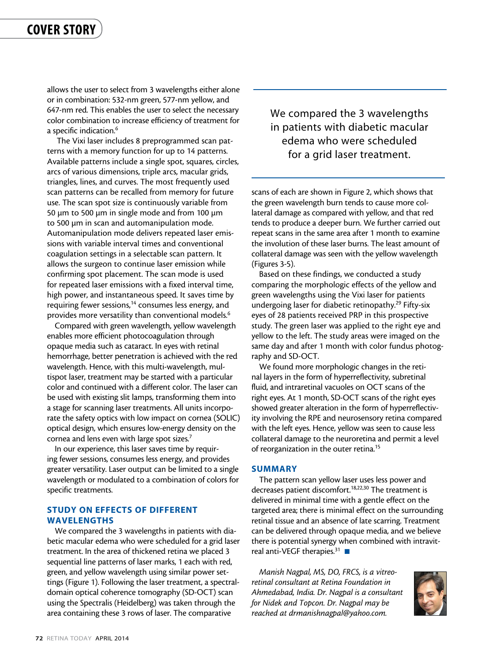allows the user to select from 3 wavelengths either alone or in combination: 532-nm green, 577-nm yellow, and 647-nm red. This enables the user to select the necessary color combination to increase efficiency of treatment for a specific indication.<sup>6</sup>

The Vixi laser includes 8 preprogrammed scan patterns with a memory function for up to 14 patterns. Available patterns include a single spot, squares, circles, arcs of various dimensions, triple arcs, macular grids, triangles, lines, and curves. The most frequently used scan patterns can be recalled from memory for future use. The scan spot size is continuously variable from 50 µm to 500 µm in single mode and from 100 µm to 500 µm in scan and automanipulation mode. Automanipulation mode delivers repeated laser emissions with variable interval times and conventional coagulation settings in a selectable scan pattern. It allows the surgeon to continue laser emission while confirming spot placement. The scan mode is used for repeated laser emissions with a fixed interval time, high power, and instantaneous speed. It saves time by requiring fewer sessions,<sup>14</sup> consumes less energy, and provides more versatility than conventional models.<sup>6</sup>

Compared with green wavelength, yellow wavelength enables more efficient photocoagulation through opaque media such as cataract. In eyes with retinal hemorrhage, better penetration is achieved with the red wavelength. Hence, with this multi-wavelength, multispot laser, treatment may be started with a particular color and continued with a different color. The laser can be used with existing slit lamps, transforming them into a stage for scanning laser treatments. All units incorporate the safety optics with low impact on cornea (SOLIC) optical design, which ensures low-energy density on the cornea and lens even with large spot sizes.7

In our experience, this laser saves time by requiring fewer sessions, consumes less energy, and provides greater versatility. Laser output can be limited to a single wavelength or modulated to a combination of colors for specific treatments.

#### Study on Effects of Different **WAVELENGTHS**

We compared the 3 wavelengths in patients with diabetic macular edema who were scheduled for a grid laser treatment. In the area of thickened retina we placed 3 sequential line patterns of laser marks, 1 each with red, green, and yellow wavelength using similar power settings (Figure 1). Following the laser treatment, a spectraldomain optical coherence tomography (SD-OCT) scan using the Spectralis (Heidelberg) was taken through the area containing these 3 rows of laser. The comparative

We compared the 3 wavelengths in patients with diabetic macular edema who were scheduled for a grid laser treatment.

scans of each are shown in Figure 2, which shows that the green wavelength burn tends to cause more collateral damage as compared with yellow, and that red tends to produce a deeper burn. We further carried out repeat scans in the same area after 1 month to examine the involution of these laser burns. The least amount of collateral damage was seen with the yellow wavelength (Figures 3-5).

Based on these findings, we conducted a study comparing the morphologic effects of the yellow and green wavelengths using the Vixi laser for patients undergoing laser for diabetic retinopathy.<sup>29</sup> Fifty-six eyes of 28 patients received PRP in this prospective study. The green laser was applied to the right eye and yellow to the left. The study areas were imaged on the same day and after 1 month with color fundus photography and SD-OCT.

We found more morphologic changes in the retinal layers in the form of hyperreflectivity, subretinal fluid, and intraretinal vacuoles on OCT scans of the right eyes. At 1 month, SD-OCT scans of the right eyes showed greater alteration in the form of hyperreflectivity involving the RPE and neurosensory retina compared with the left eyes. Hence, yellow was seen to cause less collateral damage to the neuroretina and permit a level of reorganization in the outer retina.<sup>15</sup>

#### **SUMMARY**

The pattern scan yellow laser uses less power and decreases patient discomfort.<sup>18,22,30</sup> The treatment is delivered in minimal time with a gentle effect on the targeted area; there is minimal effect on the surrounding retinal tissue and an absence of late scarring. Treatment can be delivered through opaque media, and we believe there is potential synergy when combined with intravitreal anti-VEGF therapies.<sup>31</sup>

*Manish Nagpal, MS, DO, FRCS, is a vitreoretinal consultant at Retina Foundation in Ahmedabad, India. Dr. Nagpal is a consultant for Nidek and Topcon. Dr. Nagpal may be reached at drmanishnagpal@yahoo.com.*